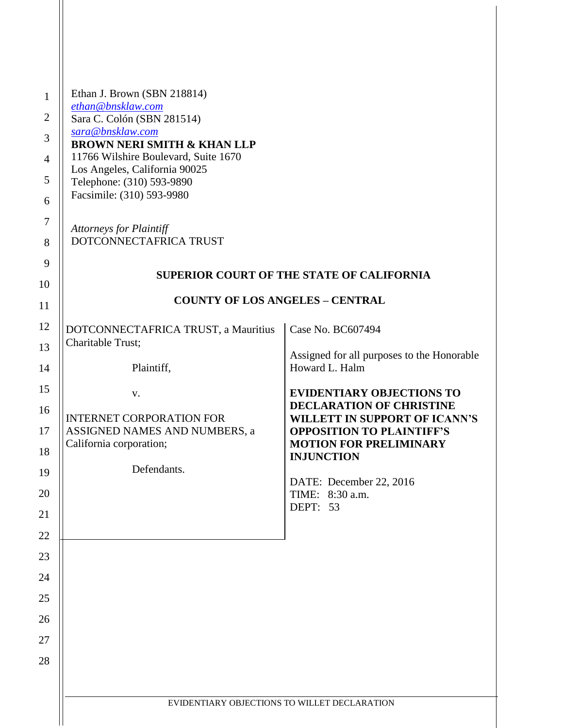| $\mathbf{1}$          | Ethan J. Brown (SBN 218814)<br>ethan@bnsklaw.com           |                                                                                                           |
|-----------------------|------------------------------------------------------------|-----------------------------------------------------------------------------------------------------------|
| $\overline{c}$        | Sara C. Colón (SBN 281514)                                 |                                                                                                           |
| 3                     | sara@bnsklaw.com<br><b>BROWN NERI SMITH &amp; KHAN LLP</b> |                                                                                                           |
| $\overline{4}$        | 11766 Wilshire Boulevard, Suite 1670                       |                                                                                                           |
| 5                     | Los Angeles, California 90025                              |                                                                                                           |
| 6                     | Telephone: (310) 593-9890<br>Facsimile: (310) 593-9980     |                                                                                                           |
| $\boldsymbol{7}$<br>8 | <b>Attorneys for Plaintiff</b><br>DOTCONNECTAFRICA TRUST   |                                                                                                           |
| 9                     |                                                            | <b>SUPERIOR COURT OF THE STATE OF CALIFORNIA</b>                                                          |
| 10                    |                                                            |                                                                                                           |
| 11                    | <b>COUNTY OF LOS ANGELES - CENTRAL</b>                     |                                                                                                           |
| 12                    | DOTCONNECTAFRICA TRUST, a Mauritius<br>Charitable Trust;   | Case No. BC607494                                                                                         |
| 13<br>14              | Plaintiff,                                                 | Assigned for all purposes to the Honorable<br>Howard L. Halm                                              |
| 15                    | V.                                                         | <b>EVIDENTIARY OBJECTIONS TO</b>                                                                          |
| 16                    | <b>INTERNET CORPORATION FOR</b>                            | <b>DECLARATION OF CHRISTINE</b>                                                                           |
| 17                    | ASSIGNED NAMES AND NUMBERS, a<br>California corporation;   | <b>WILLETT IN SUPPORT OF ICANN'S</b><br><b>OPPOSITION TO PLAINTIFF'S</b><br><b>MOTION FOR PRELIMINARY</b> |
| 18                    |                                                            | <b>INJUNCTION</b>                                                                                         |
| 19                    | Defendants.                                                | DATE: December 22, 2016                                                                                   |
| 20<br>21              |                                                            | TIME: 8:30 a.m.<br>DEPT: 53                                                                               |
| 22                    |                                                            |                                                                                                           |
|                       |                                                            |                                                                                                           |
| 23                    |                                                            |                                                                                                           |
| 24                    |                                                            |                                                                                                           |
| 25                    |                                                            |                                                                                                           |
| 26                    |                                                            |                                                                                                           |
| 27                    |                                                            |                                                                                                           |
| 28                    |                                                            |                                                                                                           |
|                       |                                                            |                                                                                                           |
|                       | EVIDENTIARY OBJECTIONS TO WILLET DECLARATION               |                                                                                                           |
|                       |                                                            |                                                                                                           |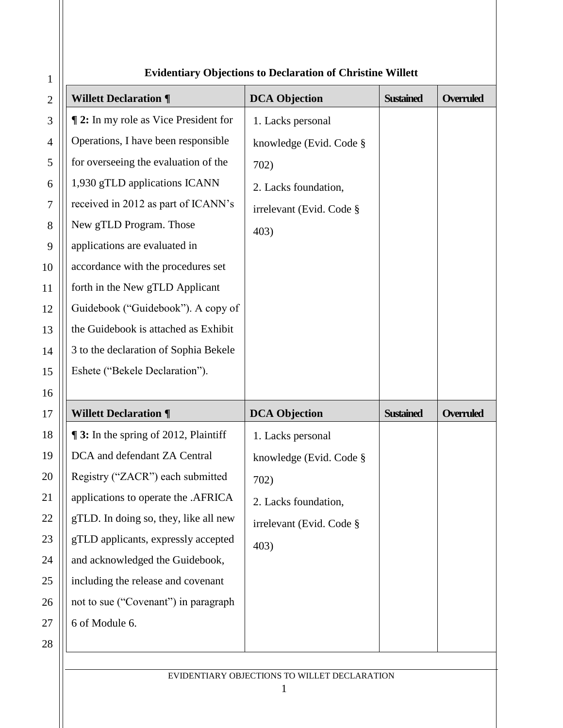| $\mathbf{1}$   | Evidentialy Objections to Decial ation of Christine Which |                          |                  |                  |
|----------------|-----------------------------------------------------------|--------------------------|------------------|------------------|
| $\mathbf{2}$   | <b>Willett Declaration ¶</b>                              | <b>DCA Objection</b>     | <b>Sustained</b> | <b>Overruled</b> |
| 3              | <b>12:</b> In my role as Vice President for               | 1. Lacks personal        |                  |                  |
| $\overline{4}$ | Operations, I have been responsible                       | knowledge (Evid. Code §  |                  |                  |
| 5              | for overseeing the evaluation of the                      | 702)                     |                  |                  |
| 6              | 1,930 gTLD applications ICANN                             | 2. Lacks foundation,     |                  |                  |
| $\overline{7}$ | received in 2012 as part of ICANN's                       | irrelevant (Evid. Code § |                  |                  |
| 8              | New gTLD Program. Those                                   | 403)                     |                  |                  |
| 9              | applications are evaluated in                             |                          |                  |                  |
| 10             | accordance with the procedures set                        |                          |                  |                  |
| 11             | forth in the New gTLD Applicant                           |                          |                  |                  |
| 12             | Guidebook ("Guidebook"). A copy of                        |                          |                  |                  |
| 13             | the Guidebook is attached as Exhibit                      |                          |                  |                  |
| 14             | 3 to the declaration of Sophia Bekele                     |                          |                  |                  |
| 15             | Eshete ("Bekele Declaration").                            |                          |                  |                  |
| 16             |                                                           |                          |                  |                  |
| 17             | <b>Willett Declaration ¶</b>                              | <b>DCA Objection</b>     | <b>Sustained</b> | <b>Overruled</b> |
| 18             | <b>13:</b> In the spring of 2012, Plaintiff               | 1. Lacks personal        |                  |                  |
| 19             | DCA and defendant ZA Central                              | knowledge (Evid. Code §  |                  |                  |
| 20             | Registry ("ZACR") each submitted                          |                          |                  |                  |
| 21             |                                                           | 702)                     |                  |                  |
|                | applications to operate the .AFRICA                       | 2. Lacks foundation,     |                  |                  |
| 22             | gTLD. In doing so, they, like all new                     | irrelevant (Evid. Code § |                  |                  |
| 23             | gTLD applicants, expressly accepted                       | 403)                     |                  |                  |
| 24             | and acknowledged the Guidebook,                           |                          |                  |                  |
| 25             | including the release and covenant                        |                          |                  |                  |
| 26             | not to sue ("Covenant") in paragraph                      |                          |                  |                  |
| 27             | 6 of Module 6.                                            |                          |                  |                  |
| 28             |                                                           |                          |                  |                  |

## **Evidentiary Objections to Declaration of Christine Willett**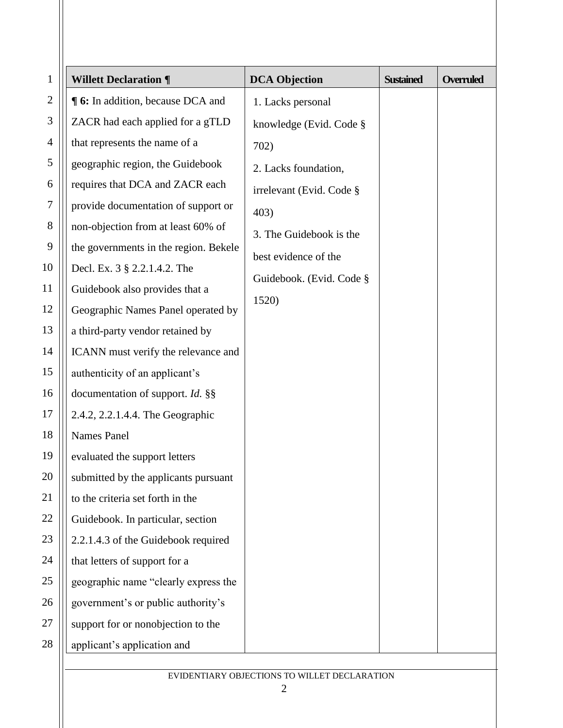| $\mathbf{1}$   | <b>Willett Declaration ¶</b>            | <b>DCA Objection</b>     | <b>Sustained</b> | <b>Overruled</b> |
|----------------|-----------------------------------------|--------------------------|------------------|------------------|
| $\overline{2}$ | <b>16:</b> In addition, because DCA and | 1. Lacks personal        |                  |                  |
| $\mathfrak{Z}$ | ZACR had each applied for a gTLD        | knowledge (Evid. Code §  |                  |                  |
| 4              | that represents the name of a           | 702)                     |                  |                  |
| 5              | geographic region, the Guidebook        | 2. Lacks foundation,     |                  |                  |
| 6              | requires that DCA and ZACR each         | irrelevant (Evid. Code § |                  |                  |
| $\overline{7}$ | provide documentation of support or     | 403)                     |                  |                  |
| 8              | non-objection from at least 60% of      | 3. The Guidebook is the  |                  |                  |
| 9              | the governments in the region. Bekele   | best evidence of the     |                  |                  |
| 10             | Decl. Ex. 3 § 2.2.1.4.2. The            | Guidebook. (Evid. Code § |                  |                  |
| 11             | Guidebook also provides that a          |                          |                  |                  |
| 12             | Geographic Names Panel operated by      | 1520)                    |                  |                  |
| 13             | a third-party vendor retained by        |                          |                  |                  |
| 14             | ICANN must verify the relevance and     |                          |                  |                  |
| 15             | authenticity of an applicant's          |                          |                  |                  |
| 16             | documentation of support. Id. §§        |                          |                  |                  |
| 17             | 2.4.2, 2.2.1.4.4. The Geographic        |                          |                  |                  |
| 18             | <b>Names Panel</b>                      |                          |                  |                  |
| 19             | evaluated the support letters           |                          |                  |                  |
| 20             | submitted by the applicants pursuant    |                          |                  |                  |
| 21             | to the criteria set forth in the        |                          |                  |                  |
| 22             | Guidebook. In particular, section       |                          |                  |                  |
| 23             | 2.2.1.4.3 of the Guidebook required     |                          |                  |                  |
| 24             | that letters of support for a           |                          |                  |                  |
| 25             | geographic name "clearly express the    |                          |                  |                  |
| 26             | government's or public authority's      |                          |                  |                  |
| 27             | support for or nonobjection to the      |                          |                  |                  |
| 28             | applicant's application and             |                          |                  |                  |
|                |                                         |                          |                  |                  |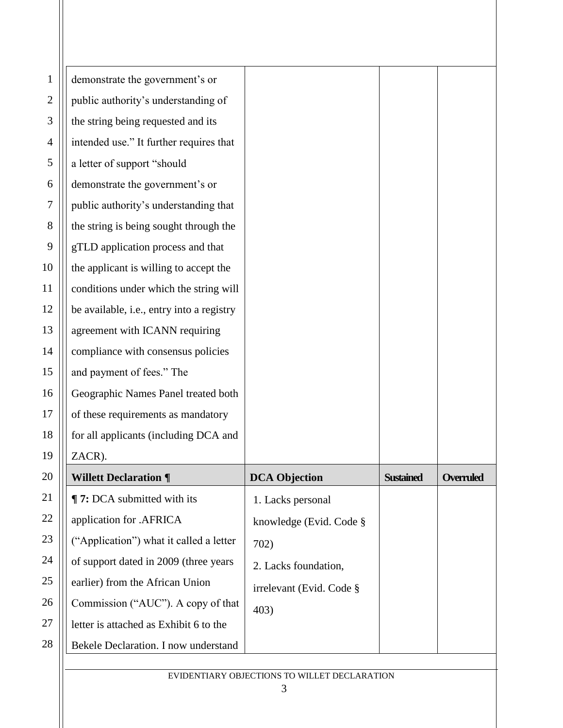| 1            | demonstrate the government's or           |                          |                  |                  |
|--------------|-------------------------------------------|--------------------------|------------------|------------------|
| $\mathbf{2}$ | public authority's understanding of       |                          |                  |                  |
| 3            | the string being requested and its        |                          |                  |                  |
| 4            | intended use." It further requires that   |                          |                  |                  |
| 5            | a letter of support "should               |                          |                  |                  |
| 6            | demonstrate the government's or           |                          |                  |                  |
| 7            | public authority's understanding that     |                          |                  |                  |
| 8            | the string is being sought through the    |                          |                  |                  |
| 9            | gTLD application process and that         |                          |                  |                  |
| 10           | the applicant is willing to accept the    |                          |                  |                  |
| 11           | conditions under which the string will    |                          |                  |                  |
| 12           | be available, i.e., entry into a registry |                          |                  |                  |
| 13           | agreement with ICANN requiring            |                          |                  |                  |
| 14           | compliance with consensus policies        |                          |                  |                  |
| 15           | and payment of fees." The                 |                          |                  |                  |
| 16           | Geographic Names Panel treated both       |                          |                  |                  |
| 17           | of these requirements as mandatory        |                          |                  |                  |
| 18           | for all applicants (including DCA and     |                          |                  |                  |
| 19           | ZACR).                                    |                          |                  |                  |
| 20           | <b>Willett Declaration ¶</b>              | <b>DCA Objection</b>     | <b>Sustained</b> | <b>Overruled</b> |
| 21           | <b>T</b> 7: DCA submitted with its        | 1. Lacks personal        |                  |                  |
| 22           | application for .AFRICA                   | knowledge (Evid. Code §  |                  |                  |
| 23           | ("Application") what it called a letter   | 702)                     |                  |                  |
| 24           | of support dated in 2009 (three years     | 2. Lacks foundation,     |                  |                  |
| 25           | earlier) from the African Union           | irrelevant (Evid. Code § |                  |                  |
| 26           | Commission ("AUC"). A copy of that        | 403)                     |                  |                  |
| 27           | letter is attached as Exhibit 6 to the    |                          |                  |                  |
| 28           | Bekele Declaration. I now understand      |                          |                  |                  |
|              |                                           |                          |                  |                  |

EVIDENTIARY OBJECTIONS TO WILLET DECLARATION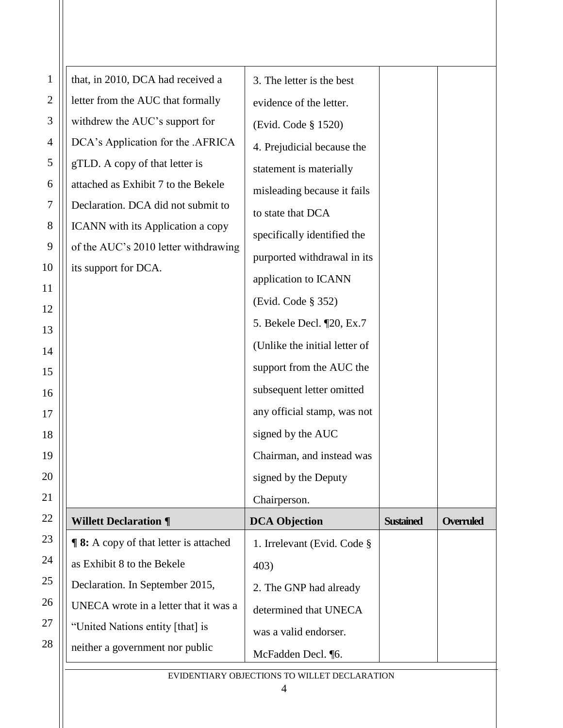| $\mathbf{1}$   | that, in 2010, DCA had received a            | 3. The letter is the best     |                  |                  |
|----------------|----------------------------------------------|-------------------------------|------------------|------------------|
| $\overline{2}$ | letter from the AUC that formally            | evidence of the letter.       |                  |                  |
| 3              | withdrew the AUC's support for               | (Evid. Code § 1520)           |                  |                  |
| 4              | DCA's Application for the .AFRICA            | 4. Prejudicial because the    |                  |                  |
| 5              | gTLD. A copy of that letter is               | statement is materially       |                  |                  |
| 6              | attached as Exhibit 7 to the Bekele          | misleading because it fails   |                  |                  |
| 7              | Declaration. DCA did not submit to           | to state that DCA             |                  |                  |
| 8              | ICANN with its Application a copy            | specifically identified the   |                  |                  |
| 9              | of the AUC's 2010 letter withdrawing         | purported withdrawal in its   |                  |                  |
| 10             | its support for DCA.                         | application to ICANN          |                  |                  |
| 11             |                                              | (Evid. Code § 352)            |                  |                  |
| 12             |                                              | 5. Bekele Decl. [20, Ex.7]    |                  |                  |
| 13             |                                              |                               |                  |                  |
| 14             |                                              | (Unlike the initial letter of |                  |                  |
| 15             |                                              | support from the AUC the      |                  |                  |
| 16             |                                              | subsequent letter omitted     |                  |                  |
| 17             |                                              | any official stamp, was not   |                  |                  |
| 18             |                                              | signed by the AUC             |                  |                  |
| 19             |                                              | Chairman, and instead was     |                  |                  |
| 20             |                                              | signed by the Deputy          |                  |                  |
| 21             |                                              | Chairperson.                  |                  |                  |
| 22             | <b>Willett Declaration ¶</b>                 | <b>DCA Objection</b>          | <b>Sustained</b> | <b>Overruled</b> |
| 23             | <b>98:</b> A copy of that letter is attached | 1. Irrelevant (Evid. Code §   |                  |                  |
| 24             | as Exhibit 8 to the Bekele                   | 403)                          |                  |                  |
| 25             | Declaration. In September 2015,              | 2. The GNP had already        |                  |                  |
| 26             | UNECA wrote in a letter that it was a        | determined that UNECA         |                  |                  |
| 27             | "United Nations entity [that] is             | was a valid endorser.         |                  |                  |
| 28             | neither a government nor public              | McFadden Decl. ¶6.            |                  |                  |
|                |                                              |                               |                  |                  |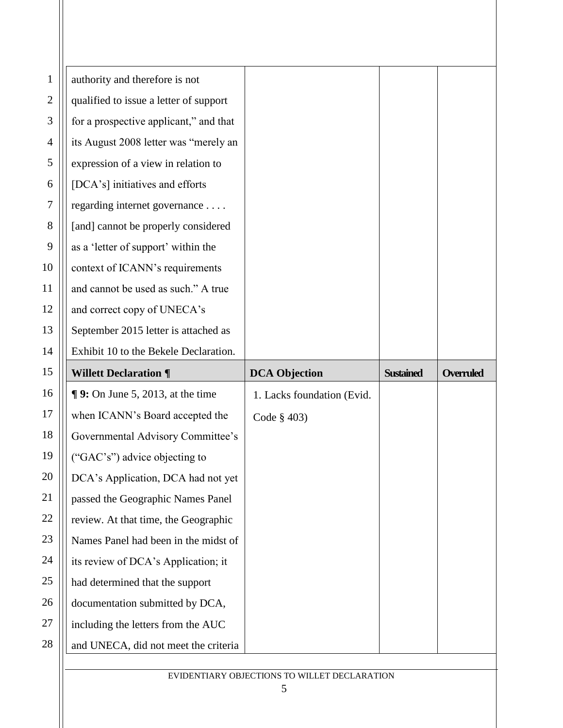| authority and therefore is not         |                            |                  |                                              |
|----------------------------------------|----------------------------|------------------|----------------------------------------------|
| qualified to issue a letter of support |                            |                  |                                              |
| for a prospective applicant," and that |                            |                  |                                              |
| its August 2008 letter was "merely an  |                            |                  |                                              |
| expression of a view in relation to    |                            |                  |                                              |
| [DCA's] initiatives and efforts        |                            |                  |                                              |
| regarding internet governance          |                            |                  |                                              |
| [and] cannot be properly considered    |                            |                  |                                              |
| as a 'letter of support' within the    |                            |                  |                                              |
| context of ICANN's requirements        |                            |                  |                                              |
| and cannot be used as such." A true    |                            |                  |                                              |
| and correct copy of UNECA's            |                            |                  |                                              |
| September 2015 letter is attached as   |                            |                  |                                              |
| Exhibit 10 to the Bekele Declaration.  |                            |                  |                                              |
| <b>Willett Declaration ¶</b>           | <b>DCA Objection</b>       | <b>Sustained</b> | <b>Overruled</b>                             |
| $\P$ 9: On June 5, 2013, at the time   | 1. Lacks foundation (Evid. |                  |                                              |
| when ICANN's Board accepted the        | Code $§$ 403)              |                  |                                              |
| Governmental Advisory Committee's      |                            |                  |                                              |
| ("GAC's") advice objecting to          |                            |                  |                                              |
| DCA's Application, DCA had not yet     |                            |                  |                                              |
| passed the Geographic Names Panel      |                            |                  |                                              |
| review. At that time, the Geographic   |                            |                  |                                              |
| Names Panel had been in the midst of   |                            |                  |                                              |
| its review of DCA's Application; it    |                            |                  |                                              |
| had determined that the support        |                            |                  |                                              |
| documentation submitted by DCA,        |                            |                  |                                              |
| including the letters from the AUC     |                            |                  |                                              |
| and UNECA, did not meet the criteria   |                            |                  |                                              |
|                                        |                            |                  |                                              |
|                                        |                            |                  | EVIDENTIARY OBJECTIONS TO WILLET DECLARATION |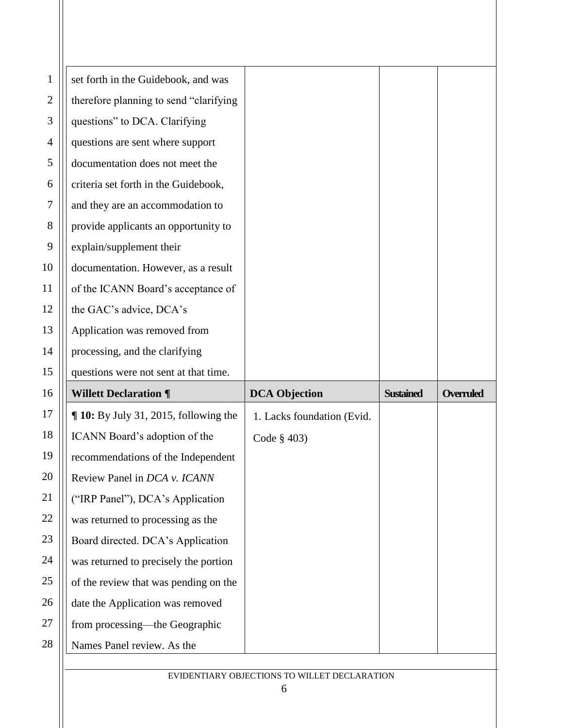| 1            | set forth in the Guidebook, and was      |                            |                  |                  |
|--------------|------------------------------------------|----------------------------|------------------|------------------|
| $\mathbf{2}$ | therefore planning to send "clarifying   |                            |                  |                  |
| 3            | questions" to DCA. Clarifying            |                            |                  |                  |
| 4            | questions are sent where support         |                            |                  |                  |
| 5            | documentation does not meet the          |                            |                  |                  |
| 6            | criteria set forth in the Guidebook,     |                            |                  |                  |
| 7            | and they are an accommodation to         |                            |                  |                  |
| 8            | provide applicants an opportunity to     |                            |                  |                  |
| 9            | explain/supplement their                 |                            |                  |                  |
| 10           | documentation. However, as a result      |                            |                  |                  |
| 11           | of the ICANN Board's acceptance of       |                            |                  |                  |
| 12           | the GAC's advice, DCA's                  |                            |                  |                  |
| 13           | Application was removed from             |                            |                  |                  |
| 14           | processing, and the clarifying           |                            |                  |                  |
|              |                                          |                            |                  |                  |
| 15           | questions were not sent at that time.    |                            |                  |                  |
| 16           | <b>Willett Declaration ¶</b>             | <b>DCA Objection</b>       | <b>Sustained</b> | <b>Overruled</b> |
| 17           | $\P$ 10: By July 31, 2015, following the | 1. Lacks foundation (Evid. |                  |                  |
| 18           | ICANN Board's adoption of the            | Code $§$ 403)              |                  |                  |
| 19           | recommendations of the Independent       |                            |                  |                  |
| 20           | Review Panel in DCA v. ICANN             |                            |                  |                  |
| 21           | ("IRP Panel"), DCA's Application         |                            |                  |                  |
| 22           | was returned to processing as the        |                            |                  |                  |
| 23           | Board directed. DCA's Application        |                            |                  |                  |
| 24           | was returned to precisely the portion    |                            |                  |                  |
| 25           | of the review that was pending on the    |                            |                  |                  |
| 26           | date the Application was removed         |                            |                  |                  |
| 27           | from processing-the Geographic           |                            |                  |                  |
| 28           | Names Panel review. As the               |                            |                  |                  |
|              |                                          |                            |                  |                  |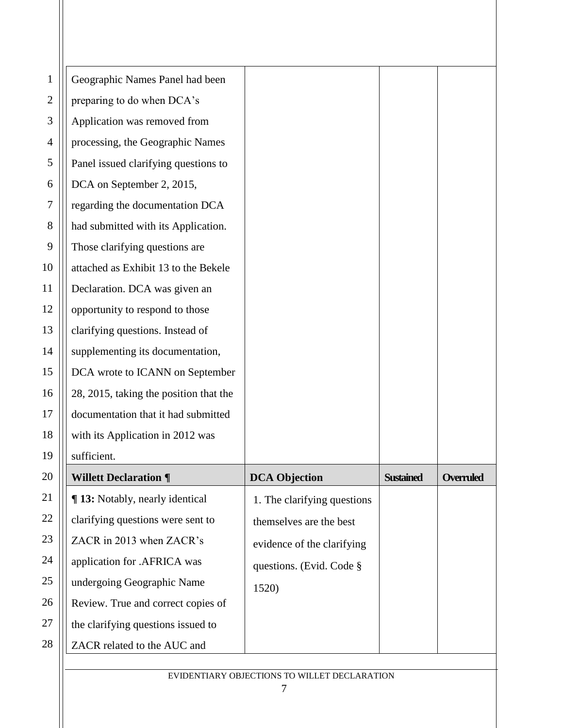| $\mathbf{1}$ | Geographic Names Panel had been        |                             |                  |                  |
|--------------|----------------------------------------|-----------------------------|------------------|------------------|
| $\mathbf{2}$ | preparing to do when DCA's             |                             |                  |                  |
| 3            | Application was removed from           |                             |                  |                  |
| 4            | processing, the Geographic Names       |                             |                  |                  |
| 5            | Panel issued clarifying questions to   |                             |                  |                  |
| 6            | DCA on September 2, 2015,              |                             |                  |                  |
| $\tau$       | regarding the documentation DCA        |                             |                  |                  |
| 8            | had submitted with its Application.    |                             |                  |                  |
| 9            | Those clarifying questions are         |                             |                  |                  |
| 10           | attached as Exhibit 13 to the Bekele   |                             |                  |                  |
| 11           | Declaration. DCA was given an          |                             |                  |                  |
| 12           | opportunity to respond to those        |                             |                  |                  |
| 13           | clarifying questions. Instead of       |                             |                  |                  |
| 14           | supplementing its documentation,       |                             |                  |                  |
| 15           | DCA wrote to ICANN on September        |                             |                  |                  |
| 16           | 28, 2015, taking the position that the |                             |                  |                  |
| 17           | documentation that it had submitted    |                             |                  |                  |
| 18           | with its Application in 2012 was       |                             |                  |                  |
| 19           | sufficient.                            |                             |                  |                  |
| 20           | <b>Willett Declaration ¶</b>           | <b>DCA Objection</b>        | <b>Sustained</b> | <b>Overruled</b> |
| 21           | ¶ 13: Notably, nearly identical        | 1. The clarifying questions |                  |                  |
| 22           | clarifying questions were sent to      | themselves are the best     |                  |                  |
| 23           | ZACR in 2013 when ZACR's               | evidence of the clarifying  |                  |                  |
| 24           | application for .AFRICA was            | questions. (Evid. Code §    |                  |                  |
| 25           | undergoing Geographic Name             | 1520)                       |                  |                  |
| 26           | Review. True and correct copies of     |                             |                  |                  |
| 27           | the clarifying questions issued to     |                             |                  |                  |
| 28           | ZACR related to the AUC and            |                             |                  |                  |
|              |                                        |                             |                  |                  |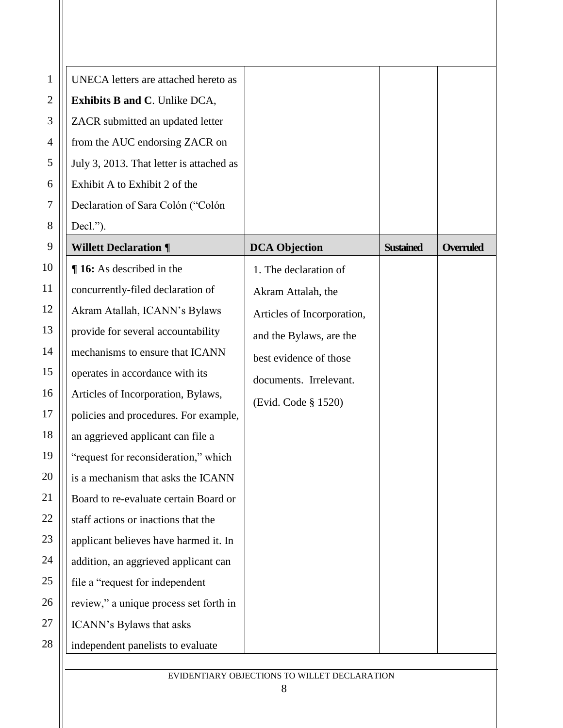| 1              | UNECA letters are attached hereto as     |                            |                  |                  |
|----------------|------------------------------------------|----------------------------|------------------|------------------|
| $\overline{2}$ | <b>Exhibits B and C. Unlike DCA,</b>     |                            |                  |                  |
| 3              | ZACR submitted an updated letter         |                            |                  |                  |
| 4              | from the AUC endorsing ZACR on           |                            |                  |                  |
| 5              | July 3, 2013. That letter is attached as |                            |                  |                  |
| 6              | Exhibit A to Exhibit 2 of the            |                            |                  |                  |
| $\tau$         | Declaration of Sara Colón ("Colón        |                            |                  |                  |
| 8              | Decl.").                                 |                            |                  |                  |
| 9              | <b>Willett Declaration ¶</b>             | <b>DCA Objection</b>       | <b>Sustained</b> | <b>Overruled</b> |
| 10             | <b>16:</b> As described in the           | 1. The declaration of      |                  |                  |
| 11             | concurrently-filed declaration of        | Akram Attalah, the         |                  |                  |
| 12             | Akram Atallah, ICANN's Bylaws            | Articles of Incorporation, |                  |                  |
| 13             | provide for several accountability       | and the Bylaws, are the    |                  |                  |
| 14             | mechanisms to ensure that ICANN          | best evidence of those     |                  |                  |
| 15             | operates in accordance with its          | documents. Irrelevant.     |                  |                  |
| 16             | Articles of Incorporation, Bylaws,       | (Evid. Code § 1520)        |                  |                  |
| 17             | policies and procedures. For example,    |                            |                  |                  |
| 18             | an aggrieved applicant can file a        |                            |                  |                  |
| 19             | "request for reconsideration," which     |                            |                  |                  |
| 20             | is a mechanism that asks the ICANN       |                            |                  |                  |
| 21             | Board to re-evaluate certain Board or    |                            |                  |                  |
| 22             | staff actions or inactions that the      |                            |                  |                  |
| 23             | applicant believes have harmed it. In    |                            |                  |                  |
| 24             | addition, an aggrieved applicant can     |                            |                  |                  |
| 25             | file a "request for independent          |                            |                  |                  |
| 26             | review," a unique process set forth in   |                            |                  |                  |
| 27             | ICANN's Bylaws that asks                 |                            |                  |                  |
| 28             | independent panelists to evaluate        |                            |                  |                  |
|                |                                          |                            |                  |                  |

EVIDENTIARY OBJECTIONS TO WILLET DECLARATION